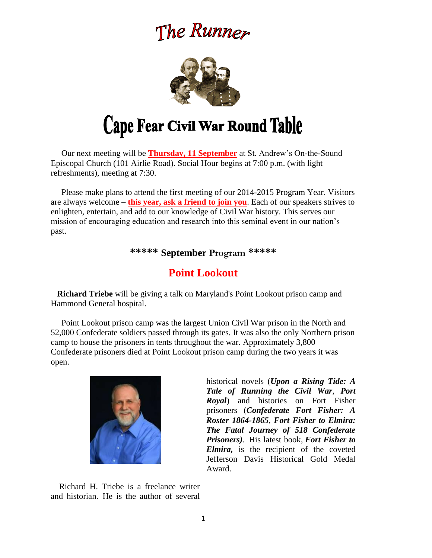# The Runner



 Our next meeting will be **Thursday, 11 September** at St. Andrew's On-the-Sound Episcopal Church (101 Airlie Road). Social Hour begins at 7:00 p.m. (with light refreshments), meeting at 7:30.

 Please make plans to attend the first meeting of our 2014-2015 Program Year. Visitors are always welcome – **this year, ask a friend to join you**. Each of our speakers strives to enlighten, entertain, and add to our knowledge of Civil War history. This serves our mission of encouraging education and research into this seminal event in our nation's past.

**\*\*\*\*\* September Program \*\*\*\*\***

# **Point Lookout**

 **Richard Triebe** will be giving a talk on Maryland's Point Lookout prison camp and Hammond General hospital.

 Point Lookout prison camp was the largest Union Civil War prison in the North and 52,000 Confederate soldiers passed through its gates. It was also the only Northern prison camp to house the prisoners in tents throughout the war. Approximately 3,800 Confederate prisoners died at Point Lookout prison camp during the two years it was open.



historical novels (*Upon a Rising Tide: A Tale of Running the Civil War*, *Port Royal*) and histories on Fort Fisher prisoners (*Confederate Fort Fisher: A Roster 1864-1865*, *Fort Fisher to Elmira: The Fatal Journey of 518 Confederate Prisoners)*. His latest book, *Fort Fisher to Elmira,* is the recipient of the coveted Jefferson Davis Historical Gold Medal Award.

Richard H. Triebe is a freelance writer and historian. He is the author of several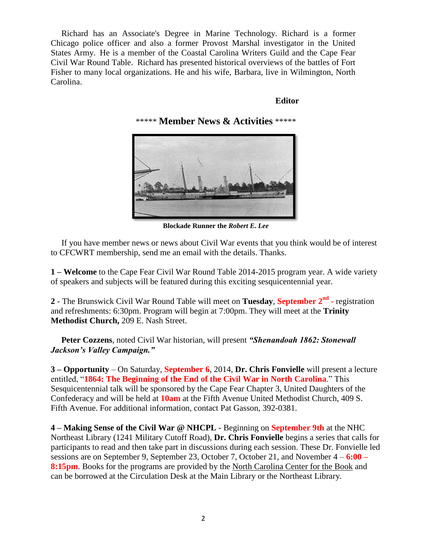Richard has an Associate's Degree in Marine Technology. Richard is a former Chicago police officer and also a former Provost Marshal investigator in the United States Army. He is a member of the Coastal Carolina Writers Guild and the Cape Fear Civil War Round Table. Richard has presented historical overviews of the battles of Fort Fisher to many local organizations. He and his wife, Barbara, live in Wilmington, North Carolina.

#### **Editor**

### \*\*\*\*\* **Member News & Activities** \*\*\*\*\*



**Blockade Runner the** *Robert E. Lee*

 If you have member news or news about Civil War events that you think would be of interest to CFCWRT membership, send me an email with the details. Thanks.

**1 – Welcome** to the Cape Fear Civil War Round Table 2014-2015 program year. A wide variety of speakers and subjects will be featured during this exciting sesquicentennial year.

**2** - The Brunswick Civil War Round Table will meet on **Tuesday**, **September 2nd -** registration and refreshments: 6:30pm. Program will begin at 7:00pm. They will meet at the **Trinity Methodist Church,** 209 E. Nash Street.

 **Peter Cozzens**, noted Civil War historian, will present *"Shenandoah 1862: Stonewall Jackson's Valley Campaign."*

**3 – Opportunity** – On Saturday, **September 6**, 2014, **Dr. Chris Fonvielle** will present a lecture entitled, "**1864: The Beginning of the End of the Civil War in North Carolina**." This Sesquicentennial talk will be sponsored by the Cape Fear Chapter 3, United Daughters of the Confederacy and will be held at **10am** at the Fifth Avenue United Methodist Church, 409 S. Fifth Avenue. For additional information, contact Pat Gasson, 392-0381.

**4 – Making Sense of the Civil War @ NHCPL -** Beginning on **September 9th** at the NHC Northeast Library (1241 Military Cutoff Road), **Dr. Chris Fonvielle** begins a series that calls for participants to read and then take part in discussions during each session. These Dr. Fonvielle led sessions are on September 9, September 23, October 7, October 21, and November 4 – **6:00 – 8:15pm.** Books for the programs are provided by the North Carolina Center for the Book and can be borrowed at the Circulation Desk at the Main Library or the Northeast Library.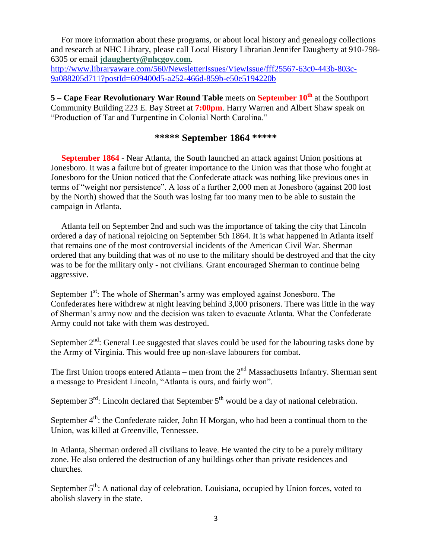For more information about these programs, or about local history and genealogy collections and research at NHC Library, please call Local History Librarian Jennifer Daugherty at 910-798- 6305 or email **[jdaugherty@nhcgov.com](mailto:jdaugherty@nhcgov.com)**.

[http://www.libraryaware.com/560/NewsletterIssues/ViewIssue/fff25567-63c0-443b-803c-](http://www.libraryaware.com/560/NewsletterIssues/ViewIssue/fff25567-63c0-443b-803c-9a088205d711?postId=609400d5-a252-466d-859b-e50e5194220b)[9a088205d711?postId=609400d5-a252-466d-859b-e50e5194220b](http://www.libraryaware.com/560/NewsletterIssues/ViewIssue/fff25567-63c0-443b-803c-9a088205d711?postId=609400d5-a252-466d-859b-e50e5194220b)

**5 – Cape Fear Revolutionary War Round Table** meets on **September 10th** at the Southport Community Building 223 E. Bay Street at **7:00pm**. Harry Warren and Albert Shaw speak on "Production of Tar and Turpentine in Colonial North Carolina."

# **\*\*\*\*\* September 1864 \*\*\*\*\***

 **September 1864 -** Near Atlanta, the South launched an attack against Union positions at Jonesboro. It was a failure but of greater importance to the Union was that those who fought at Jonesboro for the Union noticed that the Confederate attack was nothing like previous ones in terms of "weight nor persistence". A loss of a further 2,000 men at Jonesboro (against 200 lost by the North) showed that the South was losing far too many men to be able to sustain the campaign in Atlanta.

 Atlanta fell on September 2nd and such was the importance of taking the city that Lincoln ordered a day of national rejoicing on September 5th 1864. It is what happened in Atlanta itself that remains one of the most controversial incidents of the American Civil War. Sherman ordered that any building that was of no use to the military should be destroyed and that the city was to be for the military only - not civilians. Grant encouraged Sherman to continue being aggressive.

September  $1<sup>st</sup>$ : The whole of Sherman's army was employed against Jonesboro. The Confederates here withdrew at night leaving behind 3,000 prisoners. There was little in the way of Sherman's army now and the decision was taken to evacuate Atlanta. What the Confederate Army could not take with them was destroyed.

September  $2<sup>nd</sup>$ : General Lee suggested that slaves could be used for the labouring tasks done by the Army of Virginia. This would free up non-slave labourers for combat.

The first Union troops entered Atlanta – men from the  $2<sup>nd</sup>$  Massachusetts Infantry. Sherman sent a message to President Lincoln, "Atlanta is ours, and fairly won".

September  $3<sup>rd</sup>$ : Lincoln declared that September  $5<sup>th</sup>$  would be a day of national celebration.

September  $4<sup>th</sup>$ : the Confederate raider, John H Morgan, who had been a continual thorn to the Union, was killed at Greenville, Tennessee.

In Atlanta, Sherman ordered all civilians to leave. He wanted the city to be a purely military zone. He also ordered the destruction of any buildings other than private residences and churches.

September  $5<sup>th</sup>$ : A national day of celebration. Louisiana, occupied by Union forces, voted to abolish slavery in the state.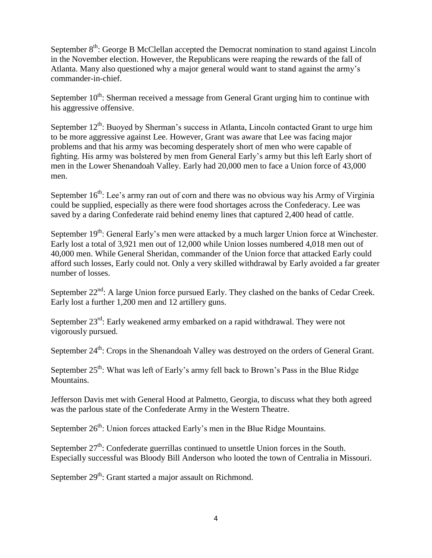September 8<sup>th</sup>: George B McClellan accepted the Democrat nomination to stand against Lincoln in the November election. However, the Republicans were reaping the rewards of the fall of Atlanta. Many also questioned why a major general would want to stand against the army's commander-in-chief.

September  $10^{th}$ : Sherman received a message from General Grant urging him to continue with his aggressive offensive.

September  $12^{th}$ : Buoyed by Sherman's success in Atlanta, Lincoln contacted Grant to urge him to be more aggressive against Lee. However, Grant was aware that Lee was facing major problems and that his army was becoming desperately short of men who were capable of fighting. His army was bolstered by men from General Early's army but this left Early short of men in the Lower Shenandoah Valley. Early had 20,000 men to face a Union force of 43,000 men.

September  $16<sup>th</sup>$ : Lee's army ran out of corn and there was no obvious way his Army of Virginia could be supplied, especially as there were food shortages across the Confederacy. Lee was saved by a daring Confederate raid behind enemy lines that captured 2,400 head of cattle.

September 19<sup>th</sup>: General Early's men were attacked by a much larger Union force at Winchester. Early lost a total of 3,921 men out of 12,000 while Union losses numbered 4,018 men out of 40,000 men. While General Sheridan, commander of the Union force that attacked Early could afford such losses, Early could not. Only a very skilled withdrawal by Early avoided a far greater number of losses.

September  $22<sup>nd</sup>$ : A large Union force pursued Early. They clashed on the banks of Cedar Creek. Early lost a further 1,200 men and 12 artillery guns.

September  $23^{rd}$ : Early weakened army embarked on a rapid withdrawal. They were not vigorously pursued.

September 24<sup>th</sup>: Crops in the Shenandoah Valley was destroyed on the orders of General Grant.

September  $25<sup>th</sup>$ : What was left of Early's army fell back to Brown's Pass in the Blue Ridge Mountains.

Jefferson Davis met with General Hood at Palmetto, Georgia, to discuss what they both agreed was the parlous state of the Confederate Army in the Western Theatre.

September  $26<sup>th</sup>$ : Union forces attacked Early's men in the Blue Ridge Mountains.

September  $27<sup>th</sup>$ : Confederate guerrillas continued to unsettle Union forces in the South. Especially successful was Bloody Bill Anderson who looted the town of Centralia in Missouri.

September  $29<sup>th</sup>$ : Grant started a major assault on Richmond.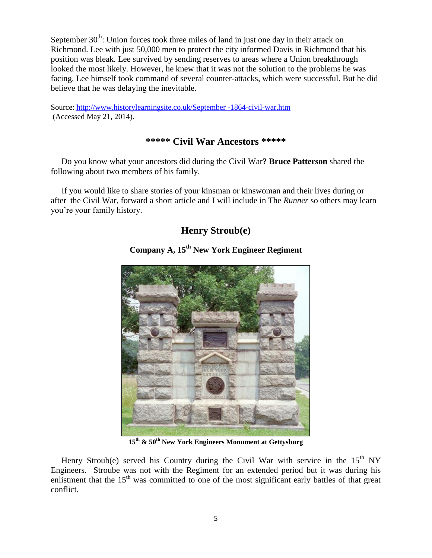September  $30<sup>th</sup>$ : Union forces took three miles of land in just one day in their attack on Richmond. Lee with just 50,000 men to protect the city informed Davis in Richmond that his position was bleak. Lee survived by sending reserves to areas where a Union breakthrough looked the most likely. However, he knew that it was not the solution to the problems he was facing. Lee himself took command of several counter-attacks, which were successful. But he did believe that he was delaying the inevitable.

Source: [http://www.historylearningsite.co.uk/September -1864-civil-war.htm](http://www.historylearningsite.co.uk/September%20-1864-civil-war.htm) (Accessed May 21, 2014).

### **\*\*\*\*\* Civil War Ancestors \*\*\*\*\***

 Do you know what your ancestors did during the Civil War**? Bruce Patterson** shared the following about two members of his family.

 If you would like to share stories of your kinsman or kinswoman and their lives during or after the Civil War, forward a short article and I will include in The *Runner* so others may learn you're your family history.

# **Henry Stroub(e)**

# **Company A, 15th New York Engineer Regiment**

**15th & 50th New York Engineers Monument at Gettysburg**

Henry Stroub(e) served his Country during the Civil War with service in the  $15<sup>th</sup>$  NY Engineers. Stroube was not with the Regiment for an extended period but it was during his enlistment that the  $15<sup>th</sup>$  was committed to one of the most significant early battles of that great conflict.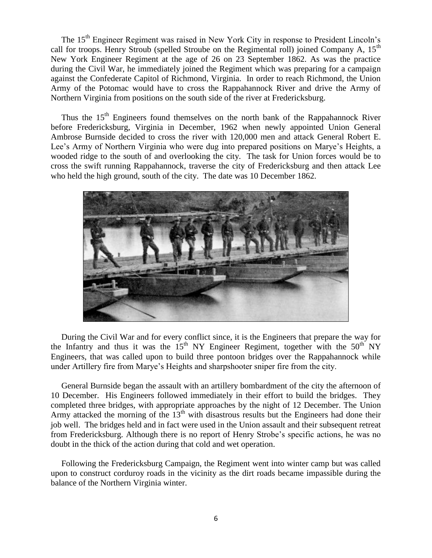The 15<sup>th</sup> Engineer Regiment was raised in New York City in response to President Lincoln's call for troops. Henry Stroub (spelled Stroube on the Regimental roll) joined Company A, 15<sup>th</sup> New York Engineer Regiment at the age of 26 on 23 September 1862. As was the practice during the Civil War, he immediately joined the Regiment which was preparing for a campaign against the Confederate Capitol of Richmond, Virginia. In order to reach Richmond, the Union Army of the Potomac would have to cross the Rappahannock River and drive the Army of Northern Virginia from positions on the south side of the river at Fredericksburg.

Thus the 15<sup>th</sup> Engineers found themselves on the north bank of the Rappahannock River before Fredericksburg, Virginia in December, 1962 when newly appointed Union General Ambrose Burnside decided to cross the river with 120,000 men and attack General Robert E. Lee's Army of Northern Virginia who were dug into prepared positions on Marye's Heights, a wooded ridge to the south of and overlooking the city. The task for Union forces would be to cross the swift running Rappahannock, traverse the city of Fredericksburg and then attack Lee who held the high ground, south of the city. The date was 10 December 1862.



 During the Civil War and for every conflict since, it is the Engineers that prepare the way for the Infantry and thus it was the  $15<sup>th</sup>$  NY Engineer Regiment, together with the  $50<sup>th</sup>$  NY Engineers, that was called upon to build three pontoon bridges over the Rappahannock while under Artillery fire from Marye's Heights and sharpshooter sniper fire from the city.

 General Burnside began the assault with an artillery bombardment of the city the afternoon of 10 December. His Engineers followed immediately in their effort to build the bridges. They completed three bridges, with appropriate approaches by the night of 12 December. The Union Army attacked the morning of the  $13<sup>th</sup>$  with disastrous results but the Engineers had done their job well. The bridges held and in fact were used in the Union assault and their subsequent retreat from Fredericksburg. Although there is no report of Henry Strobe's specific actions, he was no doubt in the thick of the action during that cold and wet operation.

 Following the Fredericksburg Campaign, the Regiment went into winter camp but was called upon to construct corduroy roads in the vicinity as the dirt roads became impassible during the balance of the Northern Virginia winter.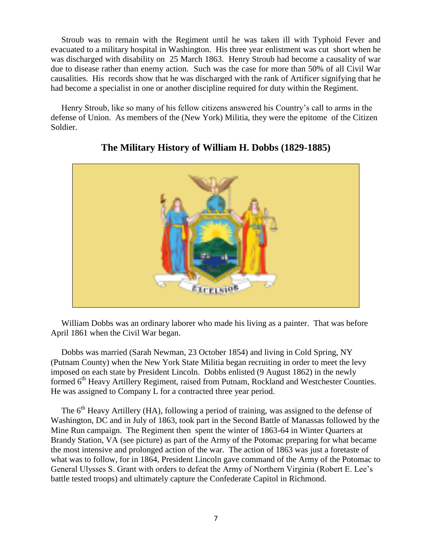Stroub was to remain with the Regiment until he was taken ill with Typhoid Fever and evacuated to a military hospital in Washington. His three year enlistment was cut short when he was discharged with disability on 25 March 1863. Henry Stroub had become a causality of war due to disease rather than enemy action. Such was the case for more than 50% of all Civil War causalities. His records show that he was discharged with the rank of Artificer signifying that he had become a specialist in one or another discipline required for duty within the Regiment.

 Henry Stroub, like so many of his fellow citizens answered his Country's call to arms in the defense of Union. As members of the (New York) Militia, they were the epitome of the Citizen Soldier.



## **The Military History of William H. Dobbs (1829-1885)**

 William Dobbs was an ordinary laborer who made his living as a painter. That was before April 1861 when the Civil War began.

 Dobbs was married (Sarah Newman, 23 October 1854) and living in Cold Spring, NY (Putnam County) when the New York State Militia began recruiting in order to meet the levy imposed on each state by President Lincoln. Dobbs enlisted (9 August 1862) in the newly formed 6<sup>th</sup> Heavy Artillery Regiment, raised from Putnam, Rockland and Westchester Counties. He was assigned to Company L for a contracted three year period.

The 6<sup>th</sup> Heavy Artillery (HA), following a period of training, was assigned to the defense of Washington, DC and in July of 1863, took part in the Second Battle of Manassas followed by the Mine Run campaign. The Regiment then spent the winter of 1863-64 in Winter Quarters at Brandy Station, VA (see picture) as part of the Army of the Potomac preparing for what became the most intensive and prolonged action of the war. The action of 1863 was just a foretaste of what was to follow, for in 1864, President Lincoln gave command of the Army of the Potomac to General Ulysses S. Grant with orders to defeat the Army of Northern Virginia (Robert E. Lee's battle tested troops) and ultimately capture the Confederate Capitol in Richmond.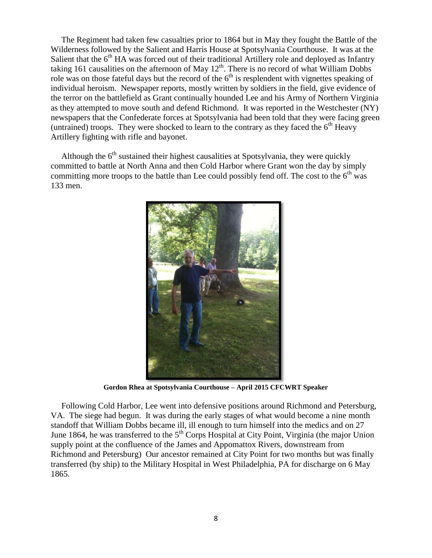The Regiment had taken few casualties prior to 1864 but in May they fought the Battle of the Wilderness followed by the Salient and Harris House at Spotsylvania Courthouse. It was at the Salient that the  $6<sup>th</sup> HA$  was forced out of their traditional Artillery role and deployed as Infantry taking 161 causalities on the afternoon of May  $12<sup>th</sup>$ . There is no record of what William Dobbs role was on those fateful days but the record of the  $6<sup>th</sup>$  is resplendent with vignettes speaking of individual heroism. Newspaper reports, mostly written by soldiers in the field, give evidence of the terror on the battlefield as Grant continually hounded Lee and his Army of Northern Virginia as they attempted to move south and defend Richmond. It was reported in the Westchester (NY) newspapers that the Confederate forces at Spotsylvania had been told that they were facing green (untrained) troops. They were shocked to learn to the contrary as they faced the  $6<sup>th</sup>$  Heavy Artillery fighting with rifle and bayonet.

Although the  $6<sup>th</sup>$  sustained their highest causalities at Spotsylvania, they were quickly committed to battle at North Anna and then Cold Harbor where Grant won the day by simply committing more troops to the battle than Lee could possibly fend off. The cost to the  $6<sup>th</sup>$  was 133 men.



**Gordon Rhea at Spotsylvania Courthouse – April 2015 CFCWRT Speaker**

 Following Cold Harbor, Lee went into defensive positions around Richmond and Petersburg, VA. The siege had begun. It was during the early stages of what would become a nine month standoff that William Dobbs became ill, ill enough to turn himself into the medics and on 27 June 1864, he was transferred to the  $5<sup>th</sup>$  Corps Hospital at City Point, Virginia (the major Union supply point at the confluence of the James and Appomattox Rivers, downstream from Richmond and Petersburg) Our ancestor remained at City Point for two months but was finally transferred (by ship) to the Military Hospital in West Philadelphia, PA for discharge on 6 May 1865.